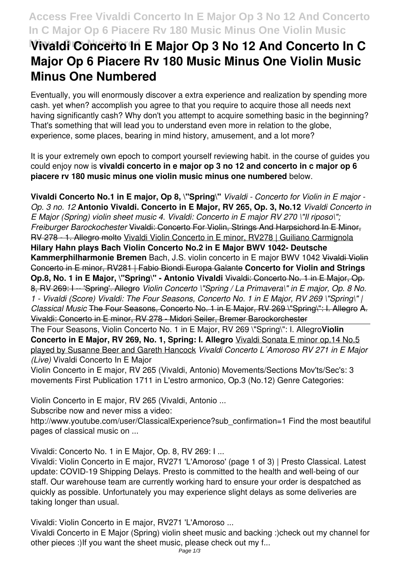## **Access Free Vivaldi Concerto In E Major Op 3 No 12 And Concerto In C Major Op 6 Piacere Rv 180 Music Minus One Violin Music**

# **Wivaldi Concerto In E Major Op 3 No 12 And Concerto In C Major Op 6 Piacere Rv 180 Music Minus One Violin Music Minus One Numbered**

Eventually, you will enormously discover a extra experience and realization by spending more cash. yet when? accomplish you agree to that you require to acquire those all needs next having significantly cash? Why don't you attempt to acquire something basic in the beginning? That's something that will lead you to understand even more in relation to the globe, experience, some places, bearing in mind history, amusement, and a lot more?

It is your extremely own epoch to comport yourself reviewing habit. in the course of guides you could enjoy now is **vivaldi concerto in e major op 3 no 12 and concerto in c major op 6 piacere rv 180 music minus one violin music minus one numbered** below.

**Vivaldi Concerto No.1 in E major, Op 8, \"Spring\"** *Vivaldi - Concerto for Violin in E major - Op. 3 no. 12* **Antonio Vivaldi. Concerto in E Major, RV 265, Op. 3, No.12** *Vivaldi Concerto in E Major (Spring) violin sheet music 4. Vivaldi: Concerto in E major RV 270 \"Il riposo\"; Freiburger Barockochester* Vivaldi: Concerto For Violin, Strings And Harpsichord In E Minor, RV 278 - 1. Allegro molto Vivaldi Violin Concerto in E minor, RV278 | Guiliano Carmignola **Hilary Hahn plays Bach Violin Concerto No.2 in E Major BWV 1042- Deutsche Kammerphilharmonie Bremen** Bach, J.S. violin concerto in E major BWV 1042 Vivaldi Violin Concerto in E minor, RV281 | Fabio Biondi Europa Galante **Concerto for Violin and Strings Op.8, No. 1 in E Major, \"Spring\" - Antonio Vivaldi** Vivaldi: Concerto No. 1 in E Major, Op. 8, RV 269: I -- 'Spring'. Allegro *Violin Concerto \"Spring / La Primavera\" in E major, Op. 8 No. 1 - Vivaldi (Score) Vivaldi: The Four Seasons, Concerto No. 1 in E Major, RV 269 \"Spring\" | Classical Music* The Four Seasons, Concerto No. 1 in E Major, RV 269 \"Spring\": I. Allegro A. Vivaldi: Concerto in E minor, RV 278 - Midori Seiler, Bremer Barockorchester

The Four Seasons, Violin Concerto No. 1 in E Major, RV 269 \"Spring\": I. Allegro**Violin Concerto in E Major, RV 269, No. 1, Spring: I. Allegro** Vivaldi Sonata E minor op.14 No.5 played by Susanne Beer and Gareth Hancock *Vivaldi Concerto L´Amoroso RV 271 in E Major (Live)* Vivaldi Concerto In E Major

Violin Concerto in E major, RV 265 (Vivaldi, Antonio) Movements/Sections Mov'ts/Sec's: 3 movements First Publication 1711 in L'estro armonico, Op.3 (No.12) Genre Categories:

Violin Concerto in E major, RV 265 (Vivaldi, Antonio ...

Subscribe now and never miss a video:

http://www.youtube.com/user/ClassicalExperience?sub\_confirmation=1 Find the most beautiful pages of classical music on ...

Vivaldi: Concerto No. 1 in E Major, Op. 8, RV 269: I ...

Vivaldi: Violin Concerto in E major, RV271 'L'Amoroso' (page 1 of 3) | Presto Classical. Latest update: COVID-19 Shipping Delays. Presto is committed to the health and well-being of our staff. Our warehouse team are currently working hard to ensure your order is despatched as quickly as possible. Unfortunately you may experience slight delays as some deliveries are taking longer than usual.

Vivaldi: Violin Concerto in E major, RV271 'L'Amoroso ...

Vivaldi Concerto in E Major (Spring) violin sheet music and backing :)check out my channel for other pieces :)If you want the sheet music, please check out my f...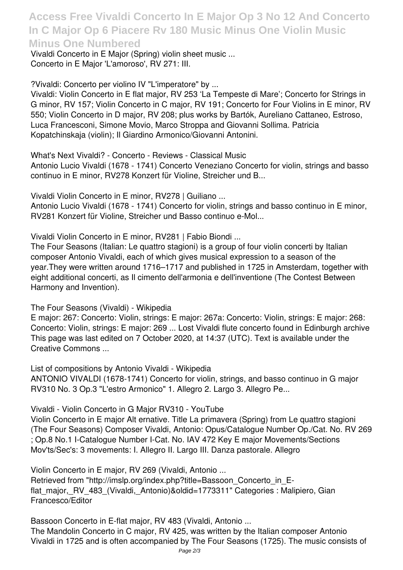**Access Free Vivaldi Concerto In E Major Op 3 No 12 And Concerto In C Major Op 6 Piacere Rv 180 Music Minus One Violin Music Minus One Numbered**

Vivaldi Concerto in E Major (Spring) violin sheet music ... Concerto in E Major 'L'amoroso', RV 271: III.

?Vivaldi: Concerto per violino IV "L'imperatore" by ...

Vivaldi: Violin Concerto in E flat major, RV 253 'La Tempeste di Mare'; Concerto for Strings in G minor, RV 157; Violin Concerto in C major, RV 191; Concerto for Four Violins in E minor, RV 550; Violin Concerto in D major, RV 208; plus works by Bartók, Aureliano Cattaneo, Estroso, Luca Francesconi, Simone Movio, Marco Stroppa and Giovanni Sollima. Patricia Kopatchinskaja (violin); Il Giardino Armonico/Giovanni Antonini.

What's Next Vivaldi? - Concerto - Reviews - Classical Music

Antonio Lucio Vivaldi (1678 - 1741) Concerto Veneziano Concerto for violin, strings and basso continuo in E minor, RV278 Konzert für Violine, Streicher und B...

Vivaldi Violin Concerto in E minor, RV278 | Guiliano ...

Antonio Lucio Vivaldi (1678 - 1741) Concerto for violin, strings and basso continuo in E minor, RV281 Konzert für Violine, Streicher und Basso continuo e-Mol...

Vivaldi Violin Concerto in E minor, RV281 | Fabio Biondi ...

The Four Seasons (Italian: Le quattro stagioni) is a group of four violin concerti by Italian composer Antonio Vivaldi, each of which gives musical expression to a season of the year.They were written around 1716–1717 and published in 1725 in Amsterdam, together with eight additional concerti, as Il cimento dell'armonia e dell'inventione (The Contest Between Harmony and Invention).

### The Four Seasons (Vivaldi) - Wikipedia

E major: 267: Concerto: Violin, strings: E major: 267a: Concerto: Violin, strings: E major: 268: Concerto: Violin, strings: E major: 269 ... Lost Vivaldi flute concerto found in Edinburgh archive This page was last edited on 7 October 2020, at 14:37 (UTC). Text is available under the Creative Commons ...

List of compositions by Antonio Vivaldi - Wikipedia ANTONIO VIVALDI (1678-1741) Concerto for violin, strings, and basso continuo in G major RV310 No. 3 Op.3 "L'estro Armonico" 1. Allegro 2. Largo 3. Allegro Pe...

Vivaldi - Violin Concerto in G Major RV310 - YouTube

Violin Concerto in E major Alt ernative. Title La primavera (Spring) from Le quattro stagioni (The Four Seasons) Composer Vivaldi, Antonio: Opus/Catalogue Number Op./Cat. No. RV 269 ; Op.8 No.1 I-Catalogue Number I-Cat. No. IAV 472 Key E major Movements/Sections Mov'ts/Sec's: 3 movements: I. Allegro II. Largo III. Danza pastorale. Allegro

Violin Concerto in E major, RV 269 (Vivaldi, Antonio ... Retrieved from "http://imslp.org/index.php?title=Bassoon\_Concerto\_in\_Eflat major, RV 483 (Vivaldi, Antonio)&oldid=1773311" Categories : Malipiero, Gian Francesco/Editor

Bassoon Concerto in E-flat major, RV 483 (Vivaldi, Antonio ... The Mandolin Concerto in C major, RV 425, was written by the Italian composer Antonio Vivaldi in 1725 and is often accompanied by The Four Seasons (1725). The music consists of